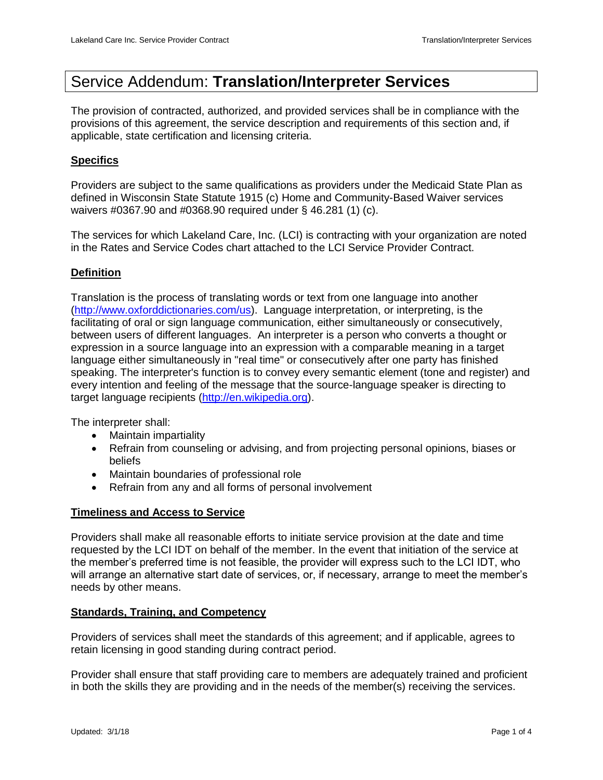# Service Addendum: **Translation/Interpreter Services**

The provision of contracted, authorized, and provided services shall be in compliance with the provisions of this agreement, the service description and requirements of this section and, if applicable, state certification and licensing criteria.

# **Specifics**

Providers are subject to the same qualifications as providers under the Medicaid State Plan as defined in Wisconsin State Statute 1915 (c) Home and Community-Based Waiver services waivers #0367.90 and #0368.90 required under § 46.281 (1) (c).

The services for which Lakeland Care, Inc. (LCI) is contracting with your organization are noted in the Rates and Service Codes chart attached to the LCI Service Provider Contract.

# **Definition**

Translation is the process of translating words or text from one language into another [\(http://www.oxforddictionaries.com/us\)](http://www.oxforddictionaries.com/us). Language interpretation, or interpreting, is the facilitating of oral or sign language communication, either simultaneously or consecutively, between users of different languages. An interpreter is a person who converts a thought or expression in a source language into an expression with a comparable meaning in a target language either simultaneously in "real time" or consecutively after one party has finished speaking. The interpreter's function is to convey every semantic element (tone and register) and every intention and feeling of the message that the source-language speaker is directing to target language recipients [\(http://en.wikipedia.org\)](http://en.wikipedia.org/).

The interpreter shall:

- Maintain impartiality
- Refrain from counseling or advising, and from projecting personal opinions, biases or beliefs
- Maintain boundaries of professional role
- Refrain from any and all forms of personal involvement

## **Timeliness and Access to Service**

Providers shall make all reasonable efforts to initiate service provision at the date and time requested by the LCI IDT on behalf of the member. In the event that initiation of the service at the member's preferred time is not feasible, the provider will express such to the LCI IDT, who will arrange an alternative start date of services, or, if necessary, arrange to meet the member's needs by other means.

## **Standards, Training, and Competency**

Providers of services shall meet the standards of this agreement; and if applicable, agrees to retain licensing in good standing during contract period.

Provider shall ensure that staff providing care to members are adequately trained and proficient in both the skills they are providing and in the needs of the member(s) receiving the services.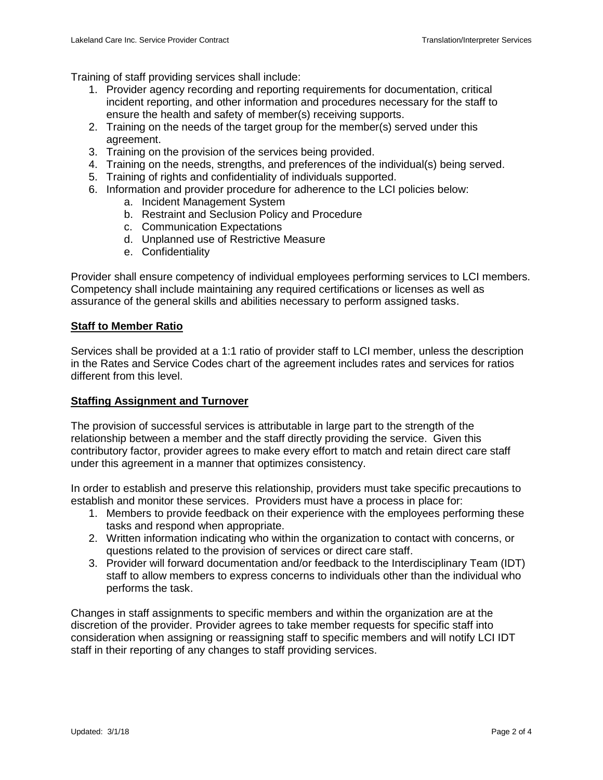Training of staff providing services shall include:

- 1. Provider agency recording and reporting requirements for documentation, critical incident reporting, and other information and procedures necessary for the staff to ensure the health and safety of member(s) receiving supports.
- 2. Training on the needs of the target group for the member(s) served under this agreement.
- 3. Training on the provision of the services being provided.
- 4. Training on the needs, strengths, and preferences of the individual(s) being served.
- 5. Training of rights and confidentiality of individuals supported.
- 6. Information and provider procedure for adherence to the LCI policies below:
	- a. Incident Management System
	- b. Restraint and Seclusion Policy and Procedure
	- c. Communication Expectations
	- d. Unplanned use of Restrictive Measure
	- e. Confidentiality

Provider shall ensure competency of individual employees performing services to LCI members. Competency shall include maintaining any required certifications or licenses as well as assurance of the general skills and abilities necessary to perform assigned tasks.

## **Staff to Member Ratio**

Services shall be provided at a 1:1 ratio of provider staff to LCI member, unless the description in the Rates and Service Codes chart of the agreement includes rates and services for ratios different from this level.

#### **Staffing Assignment and Turnover**

The provision of successful services is attributable in large part to the strength of the relationship between a member and the staff directly providing the service. Given this contributory factor, provider agrees to make every effort to match and retain direct care staff under this agreement in a manner that optimizes consistency.

In order to establish and preserve this relationship, providers must take specific precautions to establish and monitor these services. Providers must have a process in place for:

- 1. Members to provide feedback on their experience with the employees performing these tasks and respond when appropriate.
- 2. Written information indicating who within the organization to contact with concerns, or questions related to the provision of services or direct care staff.
- 3. Provider will forward documentation and/or feedback to the Interdisciplinary Team (IDT) staff to allow members to express concerns to individuals other than the individual who performs the task.

Changes in staff assignments to specific members and within the organization are at the discretion of the provider. Provider agrees to take member requests for specific staff into consideration when assigning or reassigning staff to specific members and will notify LCI IDT staff in their reporting of any changes to staff providing services.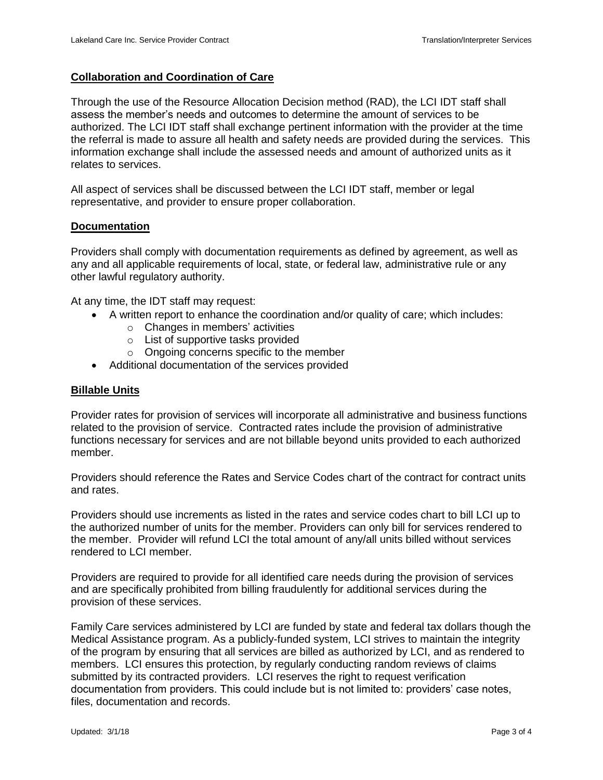### **Collaboration and Coordination of Care**

Through the use of the Resource Allocation Decision method (RAD), the LCI IDT staff shall assess the member's needs and outcomes to determine the amount of services to be authorized. The LCI IDT staff shall exchange pertinent information with the provider at the time the referral is made to assure all health and safety needs are provided during the services. This information exchange shall include the assessed needs and amount of authorized units as it relates to services.

All aspect of services shall be discussed between the LCI IDT staff, member or legal representative, and provider to ensure proper collaboration.

#### **Documentation**

Providers shall comply with documentation requirements as defined by agreement, as well as any and all applicable requirements of local, state, or federal law, administrative rule or any other lawful regulatory authority.

At any time, the IDT staff may request:

- A written report to enhance the coordination and/or quality of care; which includes:
	- $\circ$  Changes in members' activities
	- o List of supportive tasks provided
	- o Ongoing concerns specific to the member
- Additional documentation of the services provided

#### **Billable Units**

Provider rates for provision of services will incorporate all administrative and business functions related to the provision of service. Contracted rates include the provision of administrative functions necessary for services and are not billable beyond units provided to each authorized member.

Providers should reference the Rates and Service Codes chart of the contract for contract units and rates.

Providers should use increments as listed in the rates and service codes chart to bill LCI up to the authorized number of units for the member. Providers can only bill for services rendered to the member. Provider will refund LCI the total amount of any/all units billed without services rendered to LCI member.

Providers are required to provide for all identified care needs during the provision of services and are specifically prohibited from billing fraudulently for additional services during the provision of these services.

Family Care services administered by LCI are funded by state and federal tax dollars though the Medical Assistance program. As a publicly-funded system, LCI strives to maintain the integrity of the program by ensuring that all services are billed as authorized by LCI, and as rendered to members. LCI ensures this protection, by regularly conducting random reviews of claims submitted by its contracted providers. LCI reserves the right to request verification documentation from providers. This could include but is not limited to: providers' case notes, files, documentation and records.